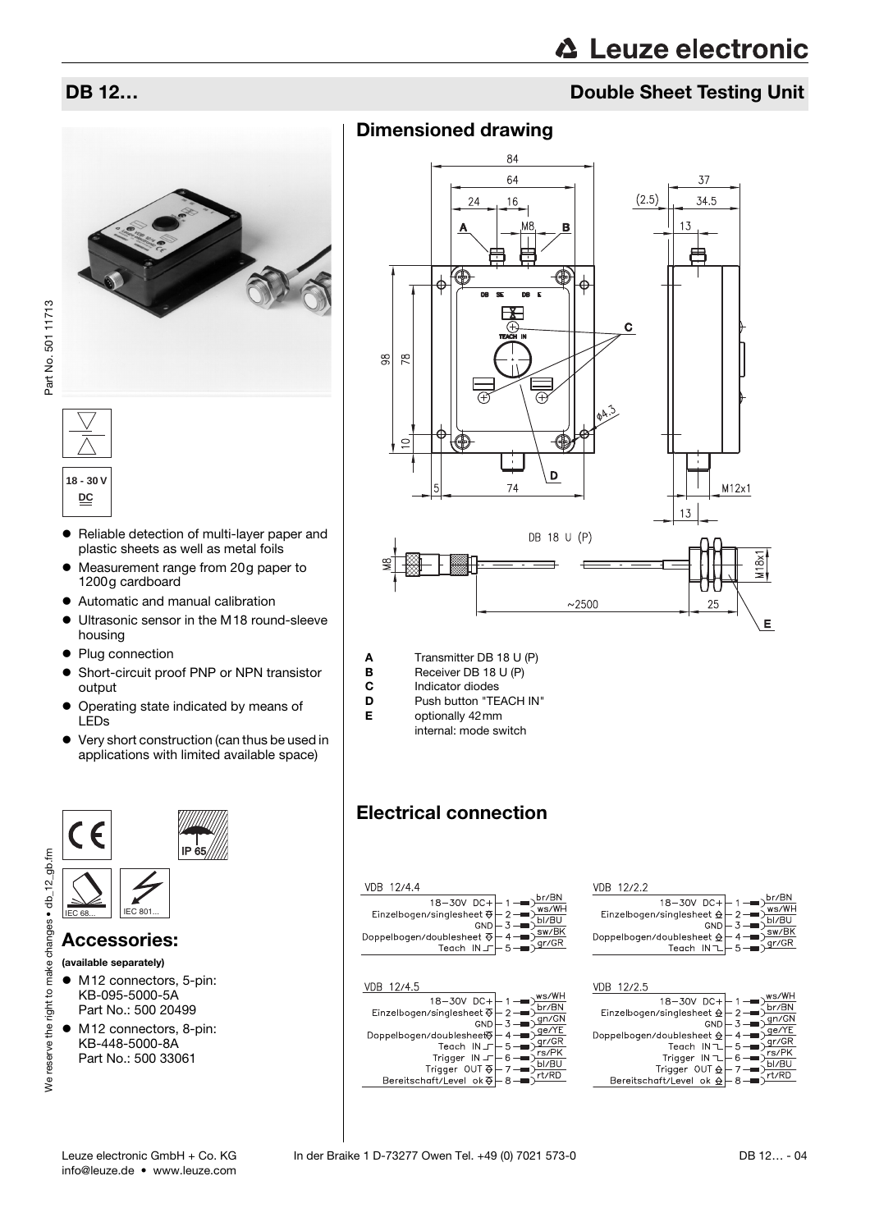## **DB 12…** Double Sheet Testing Unit





- Reliable detection of multi-layer paper and plastic sheets as well as metal foils
- Measurement range from 20g paper to 1200g cardboard
- Automatic and manual calibration
- Ultrasonic sensor in the M18 round-sleeve housing
- Plug connection
- Short-circuit proof PNP or NPN transistor output
- $\bullet$  Operating state indicated by means of LEDs
- $\bullet\;$  Very short construction (can thus be used in applications with limited available space)



### Accessories:

- (available separately)
- M12 connectors, 5-pin: KB-095-5000-5A Part No.: 500 20499
- $\bullet$  M12 connectors, 8-pin: KB-448-5000-8A Part No.: 500 33061

## Dimensioned drawing



**A** Transmitter DB 18 U (P)<br>**B** Receiver DB 18 U (P)

- **B** Receiver DB 18 U (P)<br>**C** Indicator diodes Indicator diodes
- 
- **D** Push button "TEACH IN"<br>**F** optionally  $42 \text{ mm}$ 
	- optionally 42mm internal: mode switch

## Electrical connection

| VDB 12/4.4 |  |
|------------|--|
|            |  |
|            |  |
|            |  |

| 12/45                                                                                                  |  |
|--------------------------------------------------------------------------------------------------------|--|
| - +18−30V DC<br>- Einzelbogen/singlesheet<br>GND<br>Doppelbogen/doublesheet <sub>。</sub><br>Teach IN J |  |
| Frigger IN J – 6<br>7 – Trigger OUT &<br>8 – Bereitschaft/Level ok &                                   |  |
|                                                                                                        |  |

#### VDB 12/2.2

| $\begin{array}{r l} \hline 18-30V & DC + & 1 \hline \text{D}r/BN \\ \hline 18-30V & DC + & 2 \hline \text{W}s/WH \\ \hline \text{Einzelbogen/singlesheet} & & 2 \hline \text{D}m & 3 \hline \text{D}l/BU \\ \hline \text{Doppelbogen/doublesheet} & & 4 \hline \text{D}m/BK \\ \hline \text{Teach} & N \hline \text{I} & & 5 \hline \text{m} & 9 \hline \text{G}r/GR \\ \hline \end{array}$ |  |
|---------------------------------------------------------------------------------------------------------------------------------------------------------------------------------------------------------------------------------------------------------------------------------------------------------------------------------------------------------------------------------------------|--|
|                                                                                                                                                                                                                                                                                                                                                                                             |  |
|                                                                                                                                                                                                                                                                                                                                                                                             |  |
|                                                                                                                                                                                                                                                                                                                                                                                             |  |
|                                                                                                                                                                                                                                                                                                                                                                                             |  |
|                                                                                                                                                                                                                                                                                                                                                                                             |  |
|                                                                                                                                                                                                                                                                                                                                                                                             |  |
|                                                                                                                                                                                                                                                                                                                                                                                             |  |

#### VDB 12/2.5

| 18-30V DC+ -1<br>- Einzelbogen/singlesheet $\frac{\mathsf{d}}{\mathsf{d}}$ -2 |  |
|-------------------------------------------------------------------------------|--|
|                                                                               |  |
| GND                                                                           |  |
| Doppelbogen/doublesheet $\bigoplus$                                           |  |
| Teach IN ~                                                                    |  |
| Trigger $IN \perp 6$<br>Trigger OUT $\triangle$ - 7                           |  |
|                                                                               |  |
| Bereitschaft/Level ok $\bigcirc$                                              |  |
|                                                                               |  |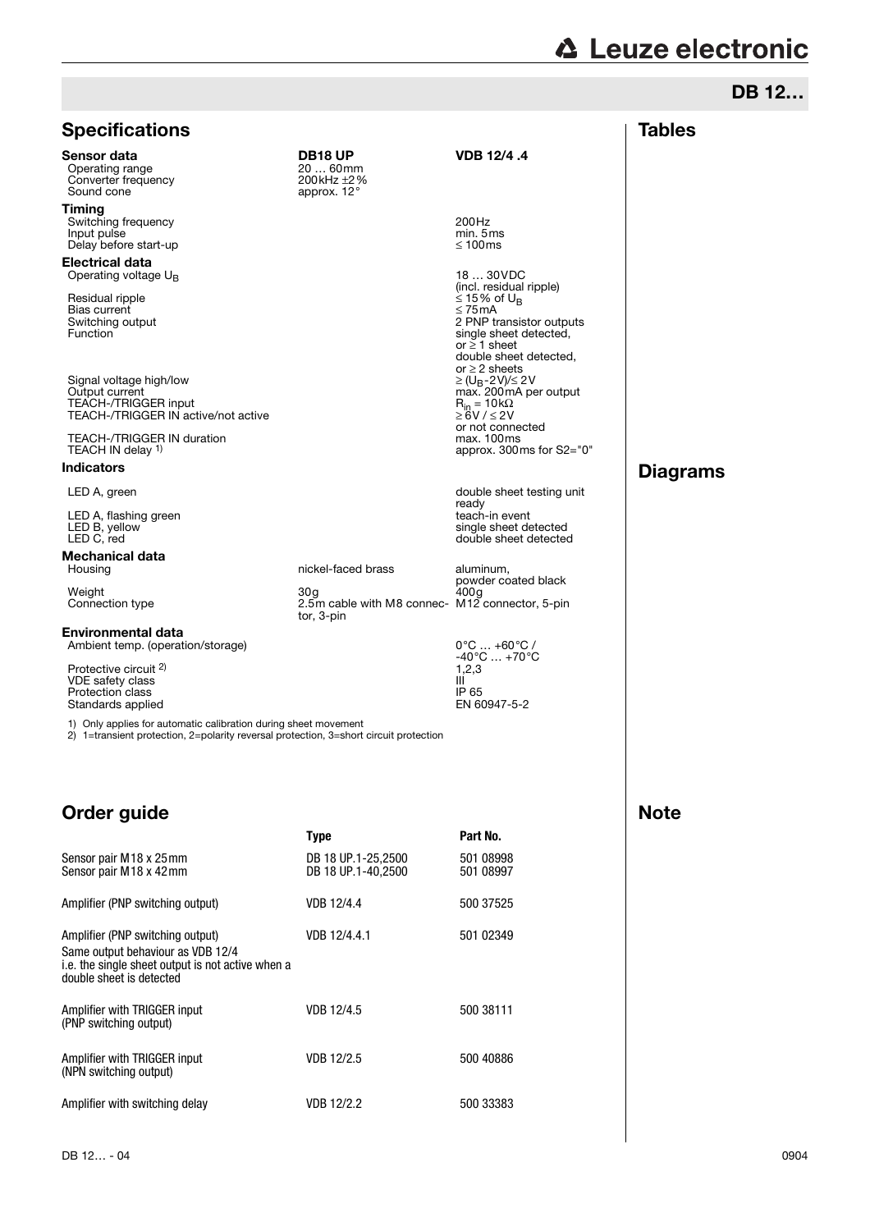# **A** Leuze electronic

DB 12…

**Tables** 

## **Specifications**

Sensor data **DB18 UP** VDB 12/4 .4<br>
Operating range 20 ... 60mm Operating range 20 ... 60mm<br>
Converter frequency 200kHz ±2% Converter frequency 200kHz  $\pm 2\%$ <br>
200kHz  $\pm 2\%$ <br>
200kHz  $\pm 2\%$ Sound cone

Timing Switching frequency and the state of the state of the state of the 200Hz min. 5 ms Input pulse<br>
Delay before start-up<br>
Delay before start-up<br>
Start and Start and Start and Start and Start and Start and Start and Start and Start and Start and Start and Start and Start and Start and Start and Start and Sta Delay before start-up

Electrical data Operating voltage  $U_B$ 

Residual ripple Bias current<br>Switching output

Signal voltage high/low Output current max. 200mA per output TEACH-/TRIGGER input  $R_{\text{in}} = 10k\Omega$ TEACH-/TRIGGER input<br>TEACH-/TRIGGER input<br>ZEACH-/TRIGGER IN active/not active  $\geq 6V / 52V$ 

TEACH-/TRIGGER IN duration TEACH IN delay 1)

#### Indicators

LED A, flashing green<br>LED B, yellow<br>LED C, red

## **Mechanical data**<br>Housing

#### Environmental data

Ambient temp. (operation/storage) Protective circuit 2)

VDE safety class III<br>Protection class III P 65 Protection class and the control of the control of the control of the CD in the CD in the CD in the CD in the CD in the CD in the CD in the CD in the CD in the CD in the CD in the CD in the CD in the CD in the CD in the CD Standards applied

1) Only applies for automatic calibration during sheet movement

2) 1=transient protection, 2=polarity reversal protection, 3=short circuit protection

tor, 3-pin

## Order guide

|                                                                                                                                                        | <b>Type</b>                              | Part No.               |
|--------------------------------------------------------------------------------------------------------------------------------------------------------|------------------------------------------|------------------------|
| Sensor pair M18 x 25mm<br>Sensor pair M18 x 42mm                                                                                                       | DB 18 UP.1-25,2500<br>DB 18 UP.1-40.2500 | 501 08998<br>501 08997 |
| Amplifier (PNP switching output)                                                                                                                       | VDB 12/4.4                               | 500 37525              |
| Amplifier (PNP switching output)<br>Same output behaviour as VDB 12/4<br>i.e. the single sheet output is not active when a<br>double sheet is detected | VDB 12/4.4.1                             | 501 02349              |
| Amplifier with TRIGGER input<br>(PNP switching output)                                                                                                 | VDB 12/4.5                               | 500 38111              |
| Amplifier with TRIGGER input<br>(NPN switching output)                                                                                                 | VDB 12/2.5                               | 500 40886              |
| Amplifier with switching delay                                                                                                                         | VDB 12/2.2                               | 500 33383              |

18 ... 30VDC<br>(incl. residual ripple)<br> $\leq$  15% of U<sub>B</sub> Suite Countries<br>
Switching output<br>
Switching output<br>
Switching output<br>
Eunction<br>
2 PNP transistor outputs<br>
Single sheet detected. E T. H. Hanslett, single sheet detected,  $or \geq 1$  sheet double sheet detected, or  $\geq$  2 sheets<br>  $\geq$  (U<sub>B</sub>-2V)/ $\leq$  2V<br>max. 200mA per output or not connected<br>max. 100ms approx. 300ms for S2="0"

LED A, green double sheet testing unit ready<br>teach-in event LED B, yellow single sheet detected LED C, red double sheet detected

nickel-faced brass aluminum, powder coated black<br>400g Weight 30g 400g Connection type 2.5m cable with M8 connec-M12 connector, 5-pin

> -40°C … +70°C  $1,2,3$

# **Diagrams**

**Note**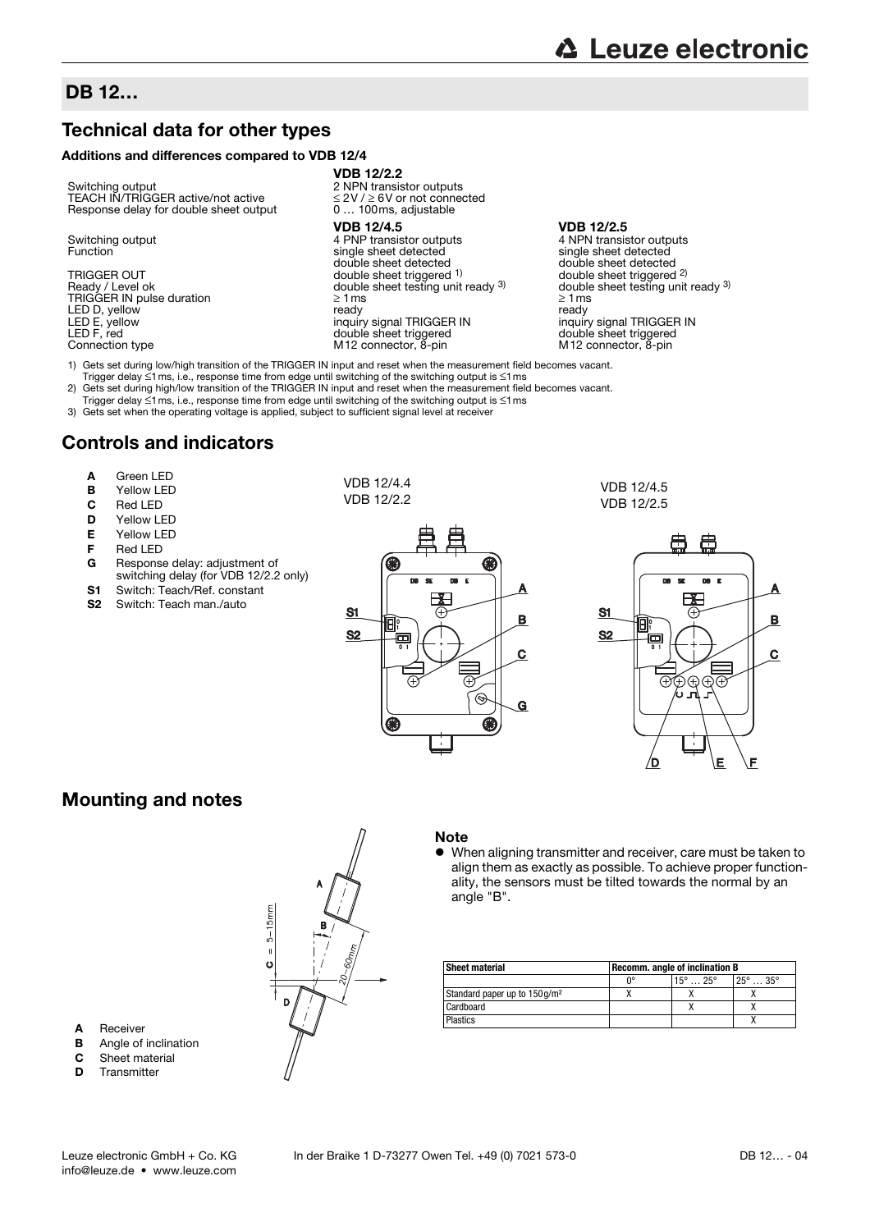A Receiver

**B** Angle of inclination **C** Sheet material<br>**D** Transmitter **Transmitter** 

## DB 12…

## Technical data for other types

#### Additions and differences compared to VDB 12/4

Switching output 2 NPN transistor outputs<br>
TEACH IN/TRIGGER active/not active  $\leq$  2V/ $\geq$  6V or not connected<br>
Response delay for double sheet output 0 ... 100ms, adjustable TEACH IN/TRIGGER active/not active Response delay for double sheet output

LED D, yellow<br>LED E, yellow<br>LED F, red

VDB 12/2.2

VDB 12/4.5 VDB 12/2.5 Switching output 1 PNP transistor outputs 4 PNP transistor outputs 4 NPN transistor outputs<br>
Function and the single sheet detected single sheet detected 4 PNP transistor outputs<br>single sheet detected<br>double sheet detected TRIGGER IN pulse duration <br>
LED D, yellow and the company of the company of the company of the company of the company of the company of the company of the company of the company of the company of the company of the compan inquiry signal TRIGGER IN inquiry signal TRIGGEF<br>
double sheet triggered double sheet triggered LED F, red<br>
Connection type and the double sheet triggered double sheet triggered double sheet triggered double sheet triggered<br>
M12 connection type M12 connection and M12 connection of the M12 connection of the M12 connec M12 connector, 8-pin

double sheet detected double sheet detected TRIGGER OUT double sheet triggered <sup>1)</sup> double sheet triggered and the testing unit ready 3) and the sheet testing unit ready <sup>3)</sup> double sheet testing unit ready <sup>3)</sup> double sheet triggered  $^{2}$ )<br>double sheet testing unit ready  $^{3}$ )

1) Gets set during low/high transition of the TRIGGER IN input and reset when the measurement field becomes vacant.

Trigger delay ≤1ms, i.e., response time from edge until switching of the switching output is ≤1ms

2) Gets set during high/low transition of the TRIGGER IN input and reset when the measurement field becomes vacant.

Trigger delay ≤1ms, i.e., response time from edge until switching of the switching output is ≤1ms 3) Gets set when the operating voltage is applied, subject to sufficient signal level at receiver

## Controls and indicators

- **A** Green LED<br>**B** Yellow LED
- Yellow LED
- C Red LED<br>D Yellow LI
- 
- **D** Yellow LED<br>**E** Yellow LED Yellow LED
- F Red LED
- G Response delay: adjustment of switching delay (for VDB 12/2.2 only)
- **S1** Switch: Teach/Ref. constant<br> **S2** Switch: Teach man /auto
- Switch: Teach man./auto

VDB 12/4.4 VDB 12/2.2



VDB 12/4.5 VDB 12/2.5



## Mounting and notes



#### **Note**

 $\bullet$  When aligning transmitter and receiver, care must be taken to align them as exactly as possible. To achieve proper functionality, the sensors must be tilted towards the normal by an angle "B".

| <b>Sheet material</b>                     | Recomm. angle of inclination B |                            |                        |
|-------------------------------------------|--------------------------------|----------------------------|------------------------|
|                                           | n∘                             | $15^{\circ}$ 25 $^{\circ}$ | $25^\circ$ 35 $^\circ$ |
| Standard paper up to 150 g/m <sup>2</sup> |                                |                            |                        |
| Cardboard                                 |                                |                            |                        |
| <b>Plastics</b>                           |                                |                            |                        |